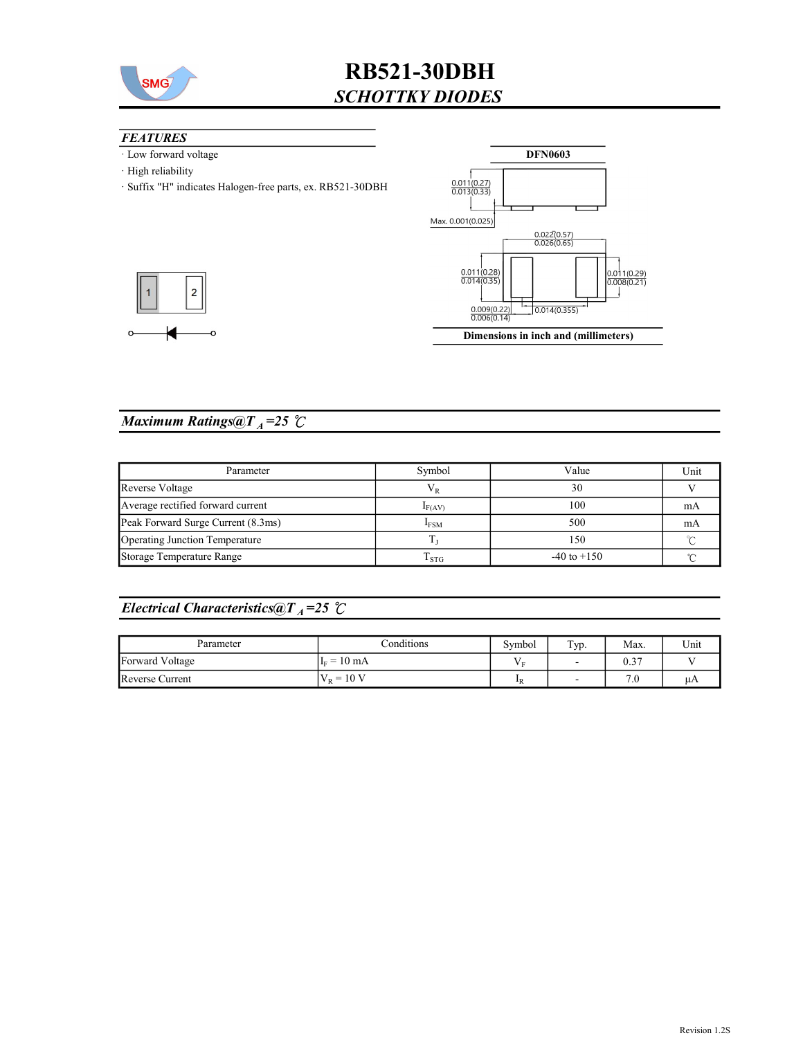

## RB521-30DBH SCHOTTKY DIODES

### **FEATURES**

- · Low forward voltage
- · High reliability
- · Suffix "H" indicates Halogen-free parts, ex. RB521-30DBH



## Maximum Ratings@ $T_A = 25$   $\degree$ C

 $\overline{c}$ 

| Parameter                          | Symbol           | Value           | Unit |
|------------------------------------|------------------|-----------------|------|
| Reverse Voltage                    | V R              | 30              |      |
| Average rectified forward current  | $I_{F(AV)}$      | 100             | mA   |
| Peak Forward Surge Current (8.3ms) | <b>IFSM</b>      | 500             | mA   |
| Operating Junction Temperature     |                  | 150             |      |
| Storage Temperature Range          | 1 <sub>STG</sub> | $-40$ to $+150$ |      |

## Electrical Characteristics@T<sub>A</sub>=25  $\mathcal{C}$

| Parameter       | Conditions             | Symbol           | Typ.                     | Max. | Unit |
|-----------------|------------------------|------------------|--------------------------|------|------|
| Forward Voltage | $10 \text{ mA}$<br>$=$ |                  | $\overline{\phantom{0}}$ | 0.37 |      |
| Reverse Current | $V_R = 10 V$           | $\mathbf{I}_{R}$ | $\overline{\phantom{a}}$ | 7.0  | иA   |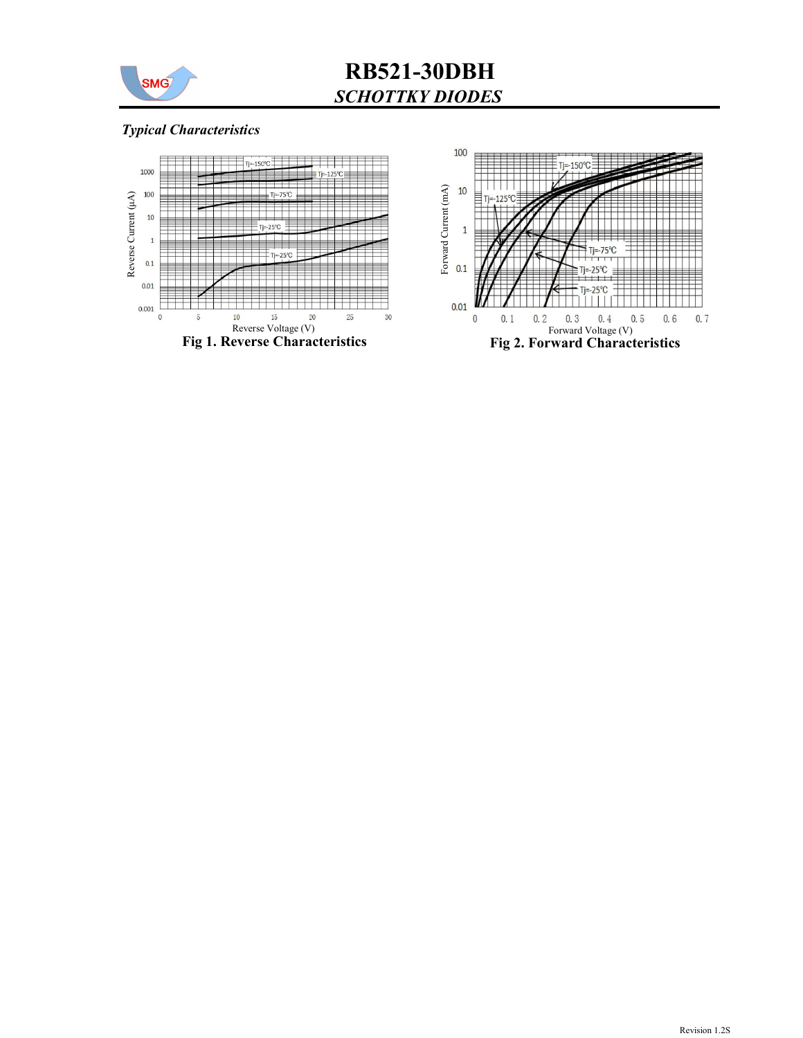

# RB521-30DBH SCHOTTKY DIODES

### Typical Characteristics



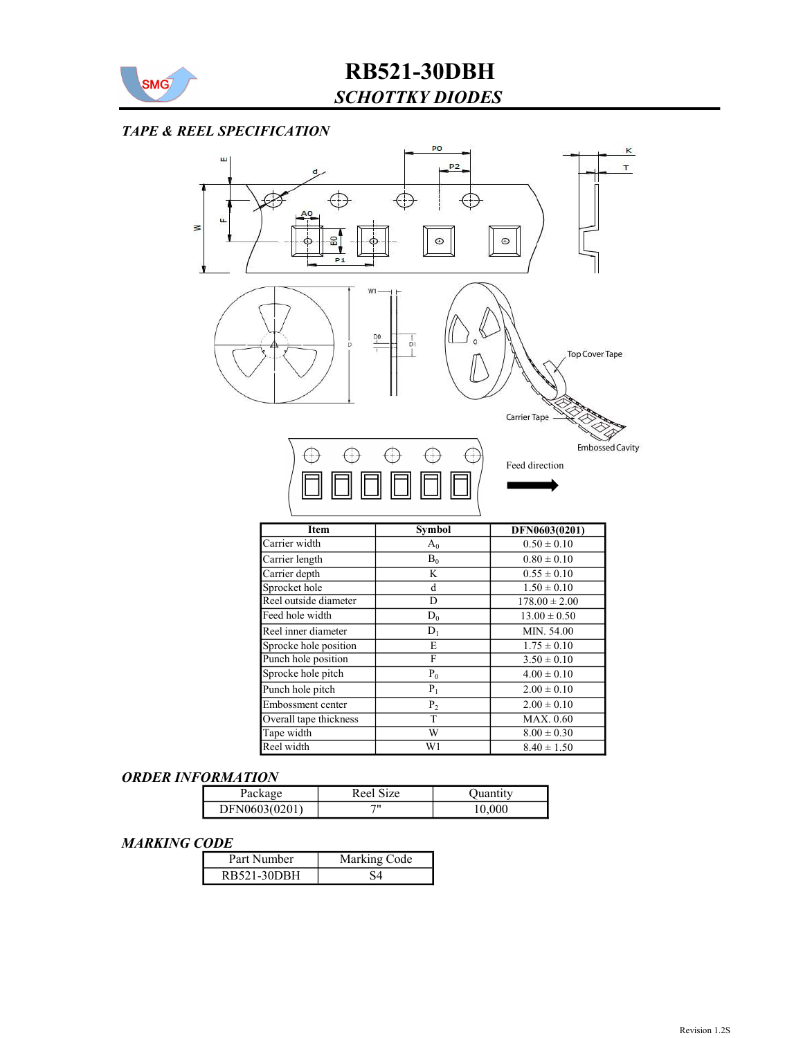

## SCHOTTKY DIODES RB521-30DBH

### TAPE & REEL SPECIFICATION



#### ORDER INFORMATION

| Package       | Reel :<br>Size | Juantity |
|---------------|----------------|----------|
| DFN0603(0201) | 711            | 10,000   |

#### MARKING CODE

| Part Number | Marking Code |
|-------------|--------------|
| RB521-30DBH |              |